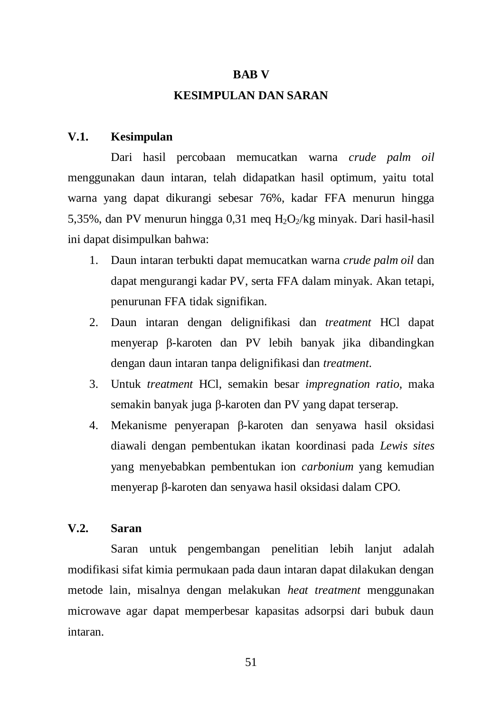#### **BAB V**

### **KESIMPULAN DAN SARAN**

# **V.1. Kesimpulan**

Dari hasil percobaan memucatkan warna *crude palm oil* menggunakan daun intaran, telah didapatkan hasil optimum, yaitu total warna yang dapat dikurangi sebesar 76%, kadar FFA menurun hingga 5,35%, dan PV menurun hingga 0,31 meq  $H_2O_2/kg$  minyak. Dari hasil-hasil ini dapat disimpulkan bahwa:

- 1. Daun intaran terbukti dapat memucatkan warna *crude palm oil* dan dapat mengurangi kadar PV, serta FFA dalam minyak. Akan tetapi, penurunan FFA tidak signifikan.
- 2. Daun intaran dengan delignifikasi dan *treatment* HCl dapat menyerap β-karoten dan PV lebih banyak jika dibandingkan dengan daun intaran tanpa delignifikasi dan *treatment*.
- 3. Untuk *treatment* HCl, semakin besar *impregnation ratio*, maka semakin banyak juga β-karoten dan PV yang dapat terserap.
- 4. Mekanisme penyerapan β-karoten dan senyawa hasil oksidasi diawali dengan pembentukan ikatan koordinasi pada *Lewis sites*  yang menyebabkan pembentukan ion *carbonium* yang kemudian menyerap β-karoten dan senyawa hasil oksidasi dalam CPO.

## **V.2. Saran**

Saran untuk pengembangan penelitian lebih lanjut adalah modifikasi sifat kimia permukaan pada daun intaran dapat dilakukan dengan metode lain, misalnya dengan melakukan *heat treatment* menggunakan microwave agar dapat memperbesar kapasitas adsorpsi dari bubuk daun intaran.

51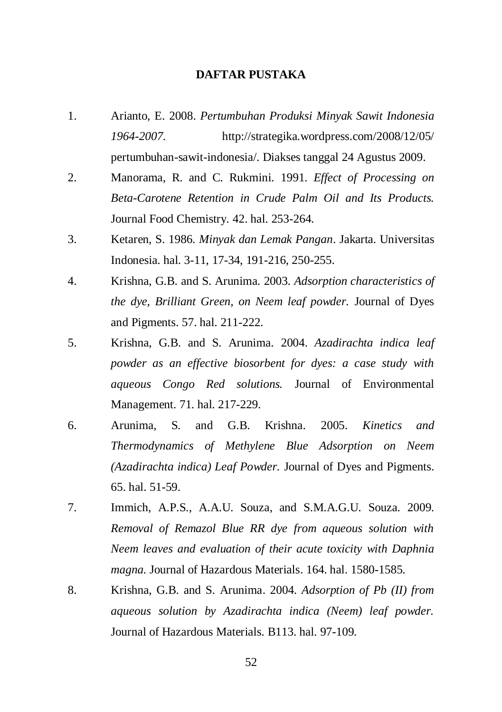#### **DAFTAR PUSTAKA**

- 1. Arianto, E. 2008. *Pertumbuhan Produksi Minyak Sawit Indonesia 1964-2007*. http://strategika.wordpress.com/2008/12/05/ pertumbuhan-sawit-indonesia/. Diakses tanggal 24 Agustus 2009.
- 2. Manorama, R. and C. Rukmini. 1991. *Effect of Processing on Beta-Carotene Retention in Crude Palm Oil and Its Products.* Journal Food Chemistry. 42. hal. 253-264.
- 3. Ketaren, S. 1986. *Minyak dan Lemak Pangan*. Jakarta. Universitas Indonesia. hal. 3-11, 17-34, 191-216, 250-255.
- 4. Krishna, G.B. and S. Arunima. 2003. *Adsorption characteristics of the dye, Brilliant Green, on Neem leaf powder.* Journal of Dyes and Pigments. 57. hal. 211-222.
- 5. Krishna, G.B. and S. Arunima. 2004. *Azadirachta indica leaf powder as an effective biosorbent for dyes: a case study with aqueous Congo Red solutions.* Journal of Environmental Management. 71. hal. 217-229.
- 6. Arunima, S. and G.B. Krishna. 2005. *Kinetics and Thermodynamics of Methylene Blue Adsorption on Neem (Azadirachta indica) Leaf Powder.* Journal of Dyes and Pigments. 65. hal. 51-59.
- 7. Immich, A.P.S., A.A.U. Souza, and S.M.A.G.U. Souza. 2009. *Removal of Remazol Blue RR dye from aqueous solution with Neem leaves and evaluation of their acute toxicity with Daphnia magna.* Journal of Hazardous Materials. 164. hal. 1580-1585.
- 8. Krishna, G.B. and S. Arunima. 2004. *Adsorption of Pb (II) from aqueous solution by Azadirachta indica (Neem) leaf powder.* Journal of Hazardous Materials. B113. hal. 97-109.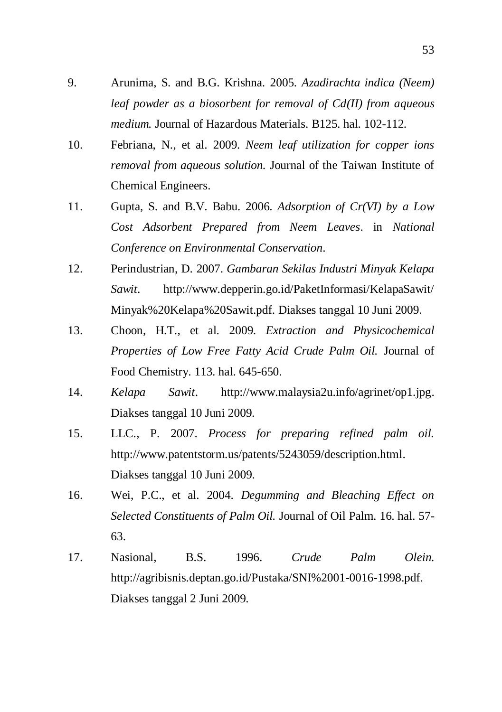- 9. Arunima, S. and B.G. Krishna. 2005. *Azadirachta indica (Neem) leaf powder as a biosorbent for removal of Cd(II) from aqueous medium.* Journal of Hazardous Materials. B125. hal. 102-112.
- 10. Febriana, N., et al. 2009. *Neem leaf utilization for copper ions removal from aqueous solution.* Journal of the Taiwan Institute of Chemical Engineers.
- 11. Gupta, S. and B.V. Babu. 2006. *Adsorption of Cr(VI) by a Low Cost Adsorbent Prepared from Neem Leaves*. in *National Conference on Environmental Conservation*.
- 12. Perindustrian, D. 2007. *Gambaran Sekilas Industri Minyak Kelapa Sawit*. <http://www.depperin.go.id/PaketInformasi/KelapaSawit/> Minyak%20Kelapa%20Sawit.pdf. Diakses tanggal 10 Juni 2009.
- 13. Choon, H.T., et al. 2009. *Extraction and Physicochemical Properties of Low Free Fatty Acid Crude Palm Oil.* Journal of Food Chemistry. 113. hal. 645-650.
- 14. *Kelapa Sawit*. http://www.malaysia2u.info/agrinet/op1.jpg. Diakses tanggal 10 Juni 2009.
- 15. LLC., P. 2007. *Process for preparing refined palm oil.*  http://www.patentstorm.us/patents/5243059/description.html. Diakses tanggal 10 Juni 2009.
- 16. Wei, P.C., et al. 2004. *Degumming and Bleaching Effect on Selected Constituents of Palm Oil.* Journal of Oil Palm. 16. hal. 57- 63.
- 17. Nasional, B.S. 1996. *Crude Palm Olein.*  http://agribisnis.deptan.go.id/Pustaka/SNI%2001-0016-1998.pdf. Diakses tanggal 2 Juni 2009.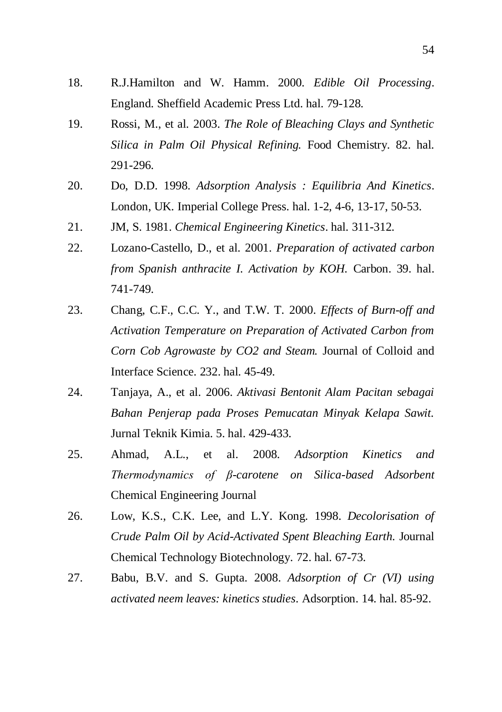- 18. R.J.Hamilton and W. Hamm. 2000. *Edible Oil Processing*. England. Sheffield Academic Press Ltd. hal. 79-128.
- 19. Rossi, M., et al. 2003. *The Role of Bleaching Clays and Synthetic Silica in Palm Oil Physical Refining.* Food Chemistry. 82. hal. 291-296.
- 20. Do, D.D. 1998. *Adsorption Analysis : Equilibria And Kinetics*. London, UK. Imperial College Press. hal. 1-2, 4-6, 13-17, 50-53.
- 21. JM, S. 1981. *Chemical Engineering Kinetics*. hal. 311-312.
- 22. Lozano-Castello, D., et al. 2001. *Preparation of activated carbon from Spanish anthracite I. Activation by KOH.* Carbon. 39. hal. 741-749.
- 23. Chang, C.F., C.C. Y., and T.W. T. 2000. *Effects of Burn-off and Activation Temperature on Preparation of Activated Carbon from Corn Cob Agrowaste by CO2 and Steam.* Journal of Colloid and Interface Science. 232. hal. 45-49.
- 24. Tanjaya, A., et al. 2006. *Aktivasi Bentonit Alam Pacitan sebagai Bahan Penjerap pada Proses Pemucatan Minyak Kelapa Sawit.* Jurnal Teknik Kimia. 5. hal. 429-433.
- 25. Ahmad, A.L., et al. 2008. *Adsorption Kinetics and Thermodynamics of β-carotene on Silica-based Adsorbent*  Chemical Engineering Journal
- 26. Low, K.S., C.K. Lee, and L.Y. Kong. 1998. *Decolorisation of Crude Palm Oil by Acid-Activated Spent Bleaching Earth.* Journal Chemical Technology Biotechnology. 72. hal. 67-73.
- 27. Babu, B.V. and S. Gupta. 2008. *Adsorption of Cr (VI) using activated neem leaves: kinetics studies.* Adsorption. 14. hal. 85-92.